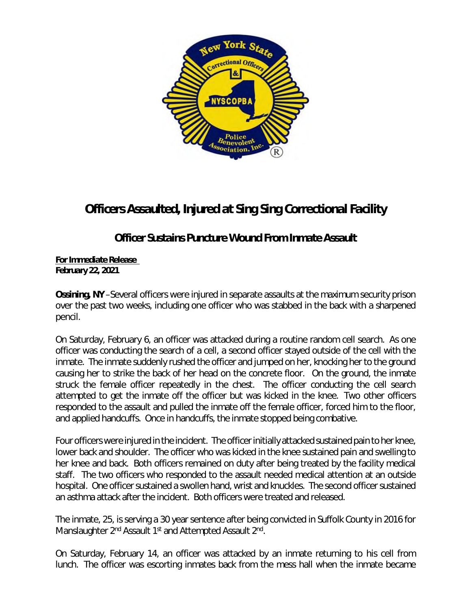

## *Officers Assaulted, Injured at Sing Sing Correctional Facility*

## *Officer Sustains Puncture Wound From Inmate Assault*

## *For Immediate Release February 22, 2021*

**Ossining, NY** –Several officers were injured in separate assaults at the maximum security prison over the past two weeks, including one officer who was stabbed in the back with a sharpened pencil.

On Saturday, February 6, an officer was attacked during a routine random cell search. As one officer was conducting the search of a cell, a second officer stayed outside of the cell with the inmate. The inmate suddenly rushed the officer and jumped on her, knocking her to the ground causing her to strike the back of her head on the concrete floor. On the ground, the inmate struck the female officer repeatedly in the chest. The officer conducting the cell search attempted to get the inmate off the officer but was kicked in the knee. Two other officers responded to the assault and pulled the inmate off the female officer, forced him to the floor, and applied handcuffs. Once in handcuffs, the inmate stopped being combative.

Four officers were injured in the incident. The officer initially attacked sustained pain to her knee, lower back and shoulder. The officer who was kicked in the knee sustained pain and swelling to her knee and back. Both officers remained on duty after being treated by the facility medical staff. The two officers who responded to the assault needed medical attention at an outside hospital. One officer sustained a swollen hand, wrist and knuckles. The second officer sustained an asthma attack after the incident. Both officers were treated and released.

The inmate, 25, is serving a 30 year sentence after being convicted in Suffolk County in 2016 for Manslaughter 2<sup>nd</sup> Assault 1<sup>st</sup> and Attempted Assault 2<sup>nd</sup>.

On Saturday, February 14, an officer was attacked by an inmate returning to his cell from lunch. The officer was escorting inmates back from the mess hall when the inmate became